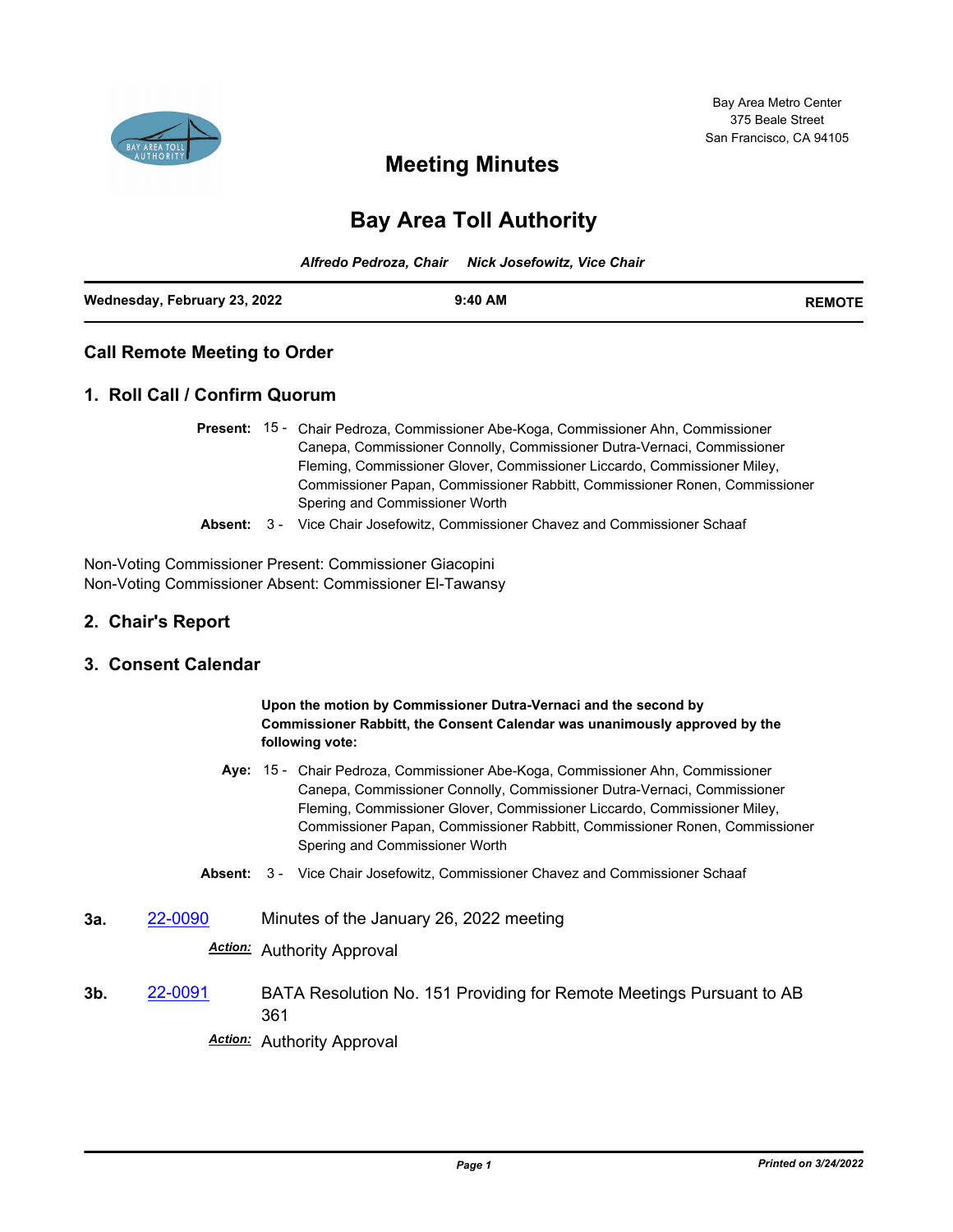

## **Meeting Minutes**

# **Bay Area Toll Authority**

|                              | Alfredo Pedroza, Chair Nick Josefowitz, Vice Chair |               |
|------------------------------|----------------------------------------------------|---------------|
| Wednesday, February 23, 2022 | $9:40$ AM                                          | <b>REMOTE</b> |

### **Call Remote Meeting to Order**

#### **1. Roll Call / Confirm Quorum**

- Present: 15 Chair Pedroza, Commissioner Abe-Koga, Commissioner Ahn, Commissioner Canepa, Commissioner Connolly, Commissioner Dutra-Vernaci, Commissioner Fleming, Commissioner Glover, Commissioner Liccardo, Commissioner Miley, Commissioner Papan, Commissioner Rabbitt, Commissioner Ronen, Commissioner Spering and Commissioner Worth
	- **Absent:** 3 Vice Chair Josefowitz, Commissioner Chavez and Commissioner Schaaf

Non-Voting Commissioner Present: Commissioner Giacopini Non-Voting Commissioner Absent: Commissioner El-Tawansy

#### **2. Chair's Report**

#### **3. Consent Calendar**

**Upon the motion by Commissioner Dutra-Vernaci and the second by Commissioner Rabbitt, the Consent Calendar was unanimously approved by the following vote:**

- Aye: 15 Chair Pedroza, Commissioner Abe-Koga, Commissioner Ahn, Commissioner Canepa, Commissioner Connolly, Commissioner Dutra-Vernaci, Commissioner Fleming, Commissioner Glover, Commissioner Liccardo, Commissioner Miley, Commissioner Papan, Commissioner Rabbitt, Commissioner Ronen, Commissioner Spering and Commissioner Worth
- **Absent:** 3 Vice Chair Josefowitz, Commissioner Chavez and Commissioner Schaaf
- **3a.** [22-0090](http://mtc.legistar.com/gateway.aspx?m=l&id=/matter.aspx?key=23349) Minutes of the January 26, 2022 meeting

### *Action:* Authority Approval

**3b.** [22-0091](http://mtc.legistar.com/gateway.aspx?m=l&id=/matter.aspx?key=23350) BATA Resolution No. 151 Providing for Remote Meetings Pursuant to AB 361

*Action:* Authority Approval